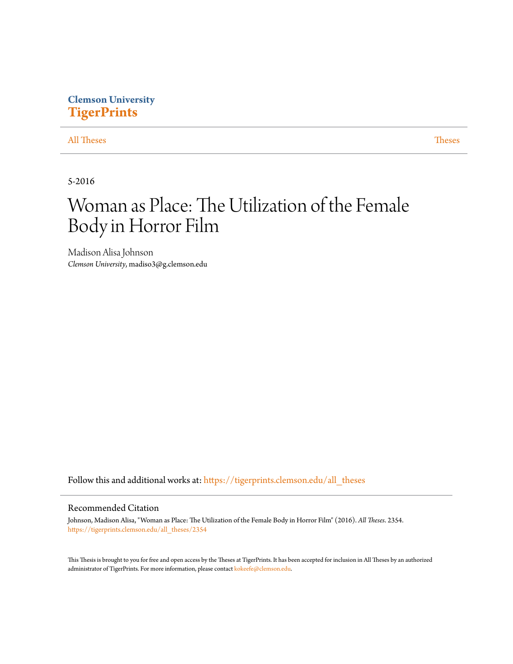### **Clemson University [TigerPrints](https://tigerprints.clemson.edu?utm_source=tigerprints.clemson.edu%2Fall_theses%2F2354&utm_medium=PDF&utm_campaign=PDFCoverPages)**

#### [All Theses](https://tigerprints.clemson.edu/all_theses?utm_source=tigerprints.clemson.edu%2Fall_theses%2F2354&utm_medium=PDF&utm_campaign=PDFCoverPages) **[Theses](https://tigerprints.clemson.edu/theses?utm_source=tigerprints.clemson.edu%2Fall_theses%2F2354&utm_medium=PDF&utm_campaign=PDFCoverPages)**

5-2016

# Woman as Place: The Utilization of the Female Body in Horror Film

Madison Alisa Johnson *Clemson University*, madiso3@g.clemson.edu

Follow this and additional works at: [https://tigerprints.clemson.edu/all\\_theses](https://tigerprints.clemson.edu/all_theses?utm_source=tigerprints.clemson.edu%2Fall_theses%2F2354&utm_medium=PDF&utm_campaign=PDFCoverPages)

#### Recommended Citation

Johnson, Madison Alisa, "Woman as Place: The Utilization of the Female Body in Horror Film" (2016). *All Theses*. 2354. [https://tigerprints.clemson.edu/all\\_theses/2354](https://tigerprints.clemson.edu/all_theses/2354?utm_source=tigerprints.clemson.edu%2Fall_theses%2F2354&utm_medium=PDF&utm_campaign=PDFCoverPages)

This Thesis is brought to you for free and open access by the Theses at TigerPrints. It has been accepted for inclusion in All Theses by an authorized administrator of TigerPrints. For more information, please contact [kokeefe@clemson.edu](mailto:kokeefe@clemson.edu).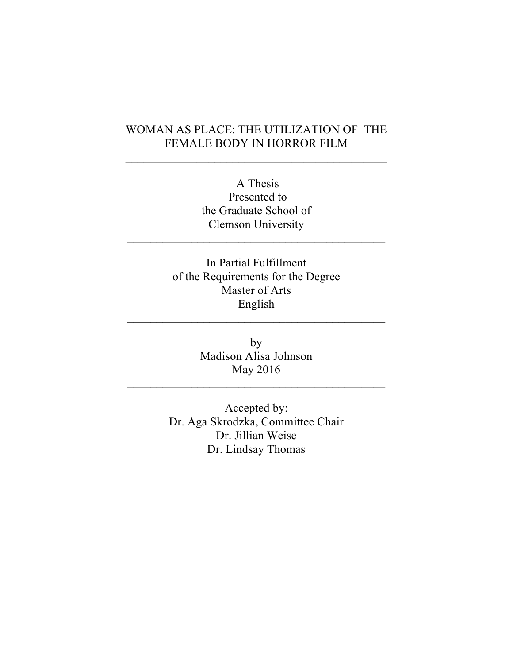### WOMAN AS PLACE: THE UTILIZATION OF THE FEMALE BODY IN HORROR FILM

\_\_\_\_\_\_\_\_\_\_\_\_\_\_\_\_\_\_\_\_\_\_\_\_\_\_\_\_\_\_\_\_\_\_\_\_\_\_\_\_\_\_\_\_

A Thesis Presented to the Graduate School of Clemson University

\_\_\_\_\_\_\_\_\_\_\_\_\_\_\_\_\_\_\_\_\_\_\_\_\_\_\_\_\_\_\_\_\_\_\_\_\_\_\_\_\_\_\_\_

In Partial Fulfillment of the Requirements for the Degree Master of Arts English

\_\_\_\_\_\_\_\_\_\_\_\_\_\_\_\_\_\_\_\_\_\_\_\_\_\_\_\_\_\_\_\_\_\_\_\_\_\_\_\_\_\_\_\_

by Madison Alisa Johnson May 2016

\_\_\_\_\_\_\_\_\_\_\_\_\_\_\_\_\_\_\_\_\_\_\_\_\_\_\_\_\_\_\_\_\_\_\_\_\_\_\_\_\_\_\_\_

Accepted by: Dr. Aga Skrodzka, Committee Chair Dr. Jillian Weise Dr. Lindsay Thomas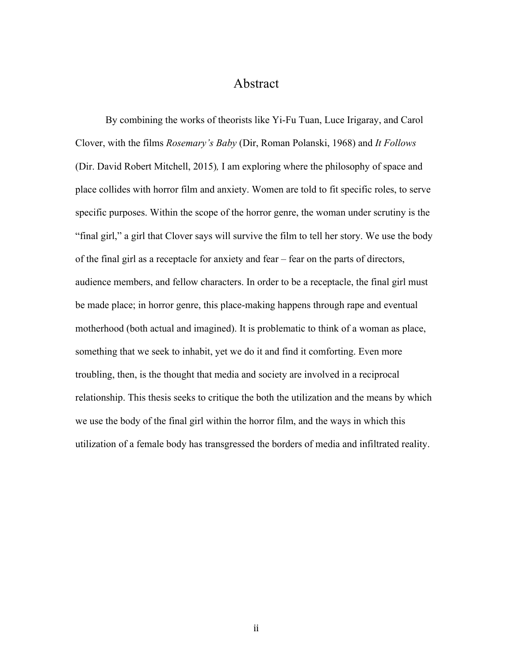### Abstract

By combining the works of theorists like Yi-Fu Tuan, Luce Irigaray, and Carol Clover, with the films *Rosemary's Baby* (Dir, Roman Polanski, 1968) and *It Follows*  (Dir. David Robert Mitchell, 2015)*,* I am exploring where the philosophy of space and place collides with horror film and anxiety. Women are told to fit specific roles, to serve specific purposes. Within the scope of the horror genre, the woman under scrutiny is the "final girl," a girl that Clover says will survive the film to tell her story. We use the body of the final girl as a receptacle for anxiety and fear – fear on the parts of directors, audience members, and fellow characters. In order to be a receptacle, the final girl must be made place; in horror genre, this place-making happens through rape and eventual motherhood (both actual and imagined). It is problematic to think of a woman as place, something that we seek to inhabit, yet we do it and find it comforting. Even more troubling, then, is the thought that media and society are involved in a reciprocal relationship. This thesis seeks to critique the both the utilization and the means by which we use the body of the final girl within the horror film, and the ways in which this utilization of a female body has transgressed the borders of media and infiltrated reality.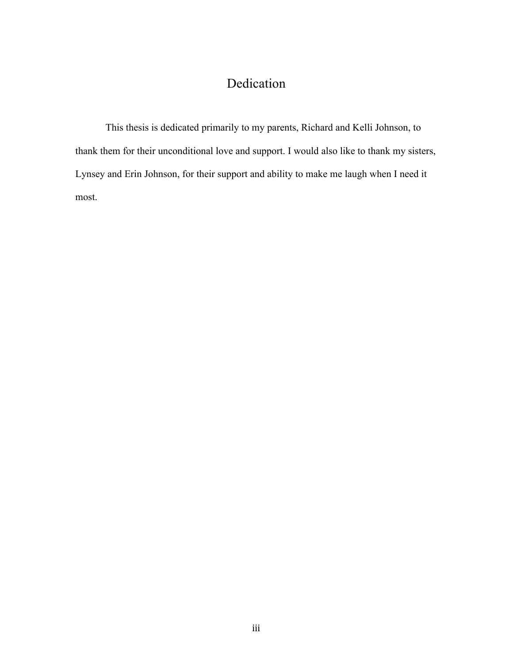# Dedication

This thesis is dedicated primarily to my parents, Richard and Kelli Johnson, to thank them for their unconditional love and support. I would also like to thank my sisters, Lynsey and Erin Johnson, for their support and ability to make me laugh when I need it most.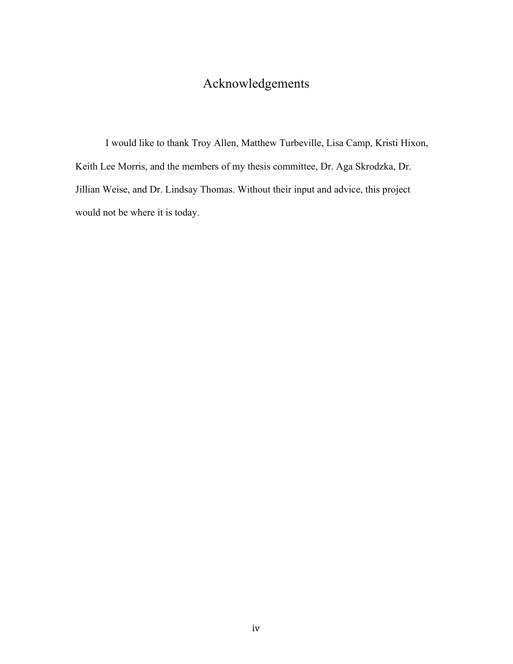## Acknowledgements

I would like to thank Troy Allen, Matthew Turbeville, Lisa Camp, Kristi Hixon, Keith Lee Morris, and the members of my thesis committee, Dr. Aga Skrodzka, Dr. Jillian Weise, and Dr. Lindsay Thomas. Without their input and advice, this project would not be where it is today.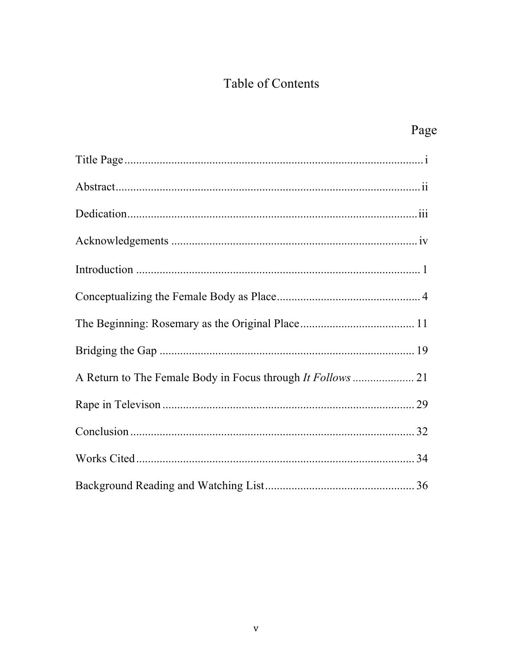# Table of Contents

| Page |
|------|
|      |
|      |
|      |
|      |
|      |
|      |
|      |
|      |
|      |
|      |
|      |
|      |
|      |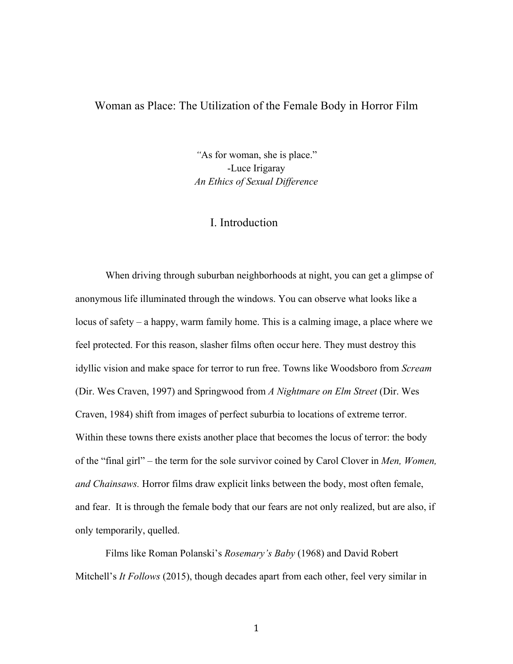#### Woman as Place: The Utilization of the Female Body in Horror Film

*"*As for woman, she is place." -Luce Irigaray *An Ethics of Sexual Difference*

#### I. Introduction

When driving through suburban neighborhoods at night, you can get a glimpse of anonymous life illuminated through the windows. You can observe what looks like a locus of safety – a happy, warm family home. This is a calming image, a place where we feel protected. For this reason, slasher films often occur here. They must destroy this idyllic vision and make space for terror to run free. Towns like Woodsboro from *Scream*  (Dir. Wes Craven, 1997) and Springwood from *A Nightmare on Elm Street* (Dir. Wes Craven, 1984) shift from images of perfect suburbia to locations of extreme terror. Within these towns there exists another place that becomes the locus of terror: the body of the "final girl" – the term for the sole survivor coined by Carol Clover in *Men, Women, and Chainsaws.* Horror films draw explicit links between the body, most often female, and fear. It is through the female body that our fears are not only realized, but are also, if only temporarily, quelled.

Films like Roman Polanski's *Rosemary's Baby* (1968) and David Robert Mitchell's *It Follows* (2015), though decades apart from each other, feel very similar in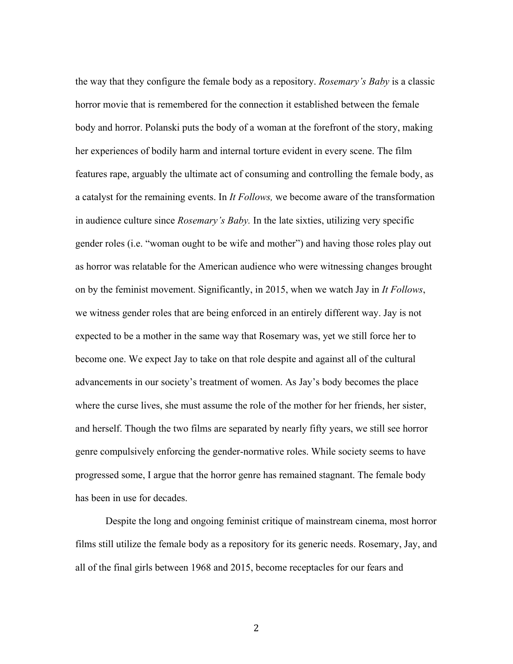the way that they configure the female body as a repository. *Rosemary's Baby* is a classic horror movie that is remembered for the connection it established between the female body and horror. Polanski puts the body of a woman at the forefront of the story, making her experiences of bodily harm and internal torture evident in every scene. The film features rape, arguably the ultimate act of consuming and controlling the female body, as a catalyst for the remaining events. In *It Follows,* we become aware of the transformation in audience culture since *Rosemary's Baby.* In the late sixties, utilizing very specific gender roles (i.e. "woman ought to be wife and mother") and having those roles play out as horror was relatable for the American audience who were witnessing changes brought on by the feminist movement. Significantly, in 2015, when we watch Jay in *It Follows*, we witness gender roles that are being enforced in an entirely different way. Jay is not expected to be a mother in the same way that Rosemary was, yet we still force her to become one. We expect Jay to take on that role despite and against all of the cultural advancements in our society's treatment of women. As Jay's body becomes the place where the curse lives, she must assume the role of the mother for her friends, her sister, and herself. Though the two films are separated by nearly fifty years, we still see horror genre compulsively enforcing the gender-normative roles. While society seems to have progressed some, I argue that the horror genre has remained stagnant. The female body has been in use for decades.

Despite the long and ongoing feminist critique of mainstream cinema, most horror films still utilize the female body as a repository for its generic needs. Rosemary, Jay, and all of the final girls between 1968 and 2015, become receptacles for our fears and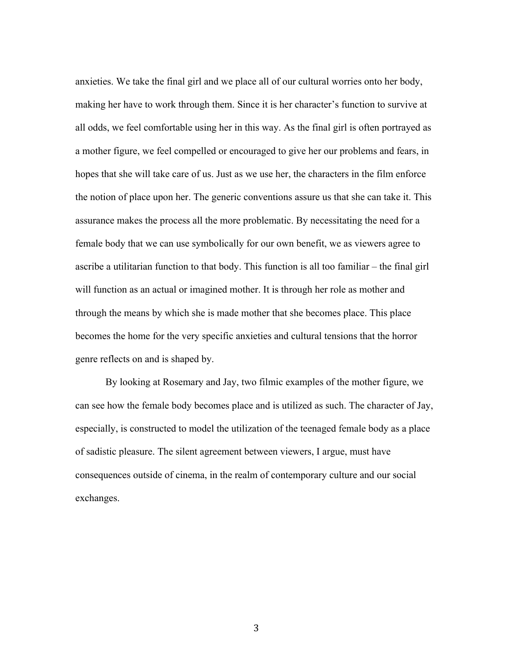anxieties. We take the final girl and we place all of our cultural worries onto her body, making her have to work through them. Since it is her character's function to survive at all odds, we feel comfortable using her in this way. As the final girl is often portrayed as a mother figure, we feel compelled or encouraged to give her our problems and fears, in hopes that she will take care of us. Just as we use her, the characters in the film enforce the notion of place upon her. The generic conventions assure us that she can take it. This assurance makes the process all the more problematic. By necessitating the need for a female body that we can use symbolically for our own benefit, we as viewers agree to ascribe a utilitarian function to that body. This function is all too familiar – the final girl will function as an actual or imagined mother. It is through her role as mother and through the means by which she is made mother that she becomes place. This place becomes the home for the very specific anxieties and cultural tensions that the horror genre reflects on and is shaped by.

By looking at Rosemary and Jay, two filmic examples of the mother figure, we can see how the female body becomes place and is utilized as such. The character of Jay, especially, is constructed to model the utilization of the teenaged female body as a place of sadistic pleasure. The silent agreement between viewers, I argue, must have consequences outside of cinema, in the realm of contemporary culture and our social exchanges.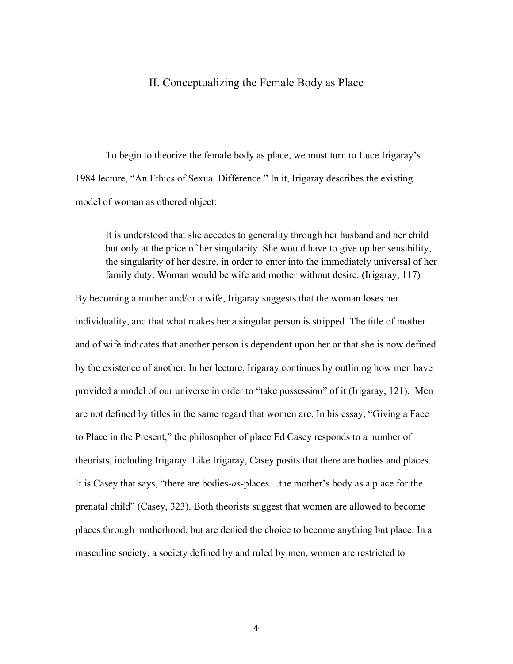#### II. Conceptualizing the Female Body as Place

To begin to theorize the female body as place, we must turn to Luce Irigaray's 1984 lecture, "An Ethics of Sexual Difference." In it, Irigaray describes the existing model of woman as othered object:

It is understood that she accedes to generality through her husband and her child but only at the price of her singularity. She would have to give up her sensibility, the singularity of her desire, in order to enter into the immediately universal of her family duty. Woman would be wife and mother without desire. (Irigaray, 117)

By becoming a mother and/or a wife, Irigaray suggests that the woman loses her individuality, and that what makes her a singular person is stripped. The title of mother and of wife indicates that another person is dependent upon her or that she is now defined by the existence of another. In her lecture, Irigaray continues by outlining how men have provided a model of our universe in order to "take possession" of it (Irigaray, 121). Men are not defined by titles in the same regard that women are. In his essay, "Giving a Face to Place in the Present," the philosopher of place Ed Casey responds to a number of theorists, including Irigaray. Like Irigaray, Casey posits that there are bodies and places. It is Casey that says, "there are bodies-*as-*places…the mother's body as a place for the prenatal child" (Casey, 323). Both theorists suggest that women are allowed to become places through motherhood, but are denied the choice to become anything but place. In a masculine society, a society defined by and ruled by men, women are restricted to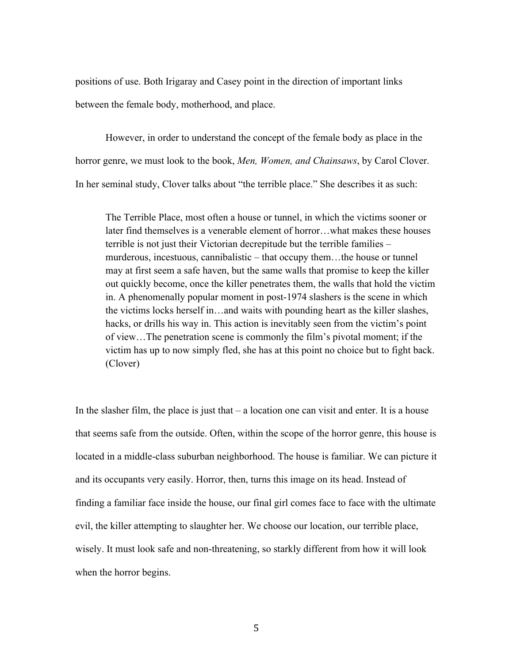positions of use. Both Irigaray and Casey point in the direction of important links between the female body, motherhood, and place.

However, in order to understand the concept of the female body as place in the horror genre, we must look to the book, *Men, Women, and Chainsaws*, by Carol Clover. In her seminal study, Clover talks about "the terrible place." She describes it as such:

The Terrible Place, most often a house or tunnel, in which the victims sooner or later find themselves is a venerable element of horror…what makes these houses terrible is not just their Victorian decrepitude but the terrible families – murderous, incestuous, cannibalistic – that occupy them…the house or tunnel may at first seem a safe haven, but the same walls that promise to keep the killer out quickly become, once the killer penetrates them, the walls that hold the victim in. A phenomenally popular moment in post-1974 slashers is the scene in which the victims locks herself in…and waits with pounding heart as the killer slashes, hacks, or drills his way in. This action is inevitably seen from the victim's point of view…The penetration scene is commonly the film's pivotal moment; if the victim has up to now simply fled, she has at this point no choice but to fight back. (Clover)

In the slasher film, the place is just that  $-$  a location one can visit and enter. It is a house that seems safe from the outside. Often, within the scope of the horror genre, this house is located in a middle-class suburban neighborhood. The house is familiar. We can picture it and its occupants very easily. Horror, then, turns this image on its head. Instead of finding a familiar face inside the house, our final girl comes face to face with the ultimate evil, the killer attempting to slaughter her. We choose our location, our terrible place, wisely. It must look safe and non-threatening, so starkly different from how it will look when the horror begins.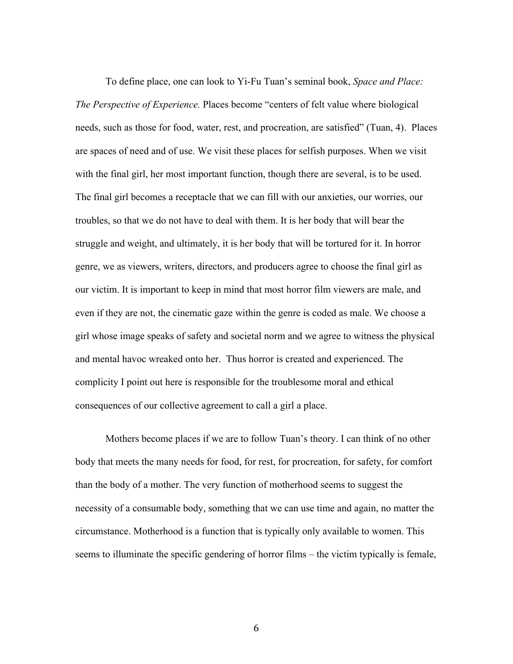To define place, one can look to Yi-Fu Tuan's seminal book, *Space and Place: The Perspective of Experience.* Places become "centers of felt value where biological needs, such as those for food, water, rest, and procreation, are satisfied" (Tuan, 4). Places are spaces of need and of use. We visit these places for selfish purposes. When we visit with the final girl, her most important function, though there are several, is to be used. The final girl becomes a receptacle that we can fill with our anxieties, our worries, our troubles, so that we do not have to deal with them. It is her body that will bear the struggle and weight, and ultimately, it is her body that will be tortured for it. In horror genre, we as viewers, writers, directors, and producers agree to choose the final girl as our victim. It is important to keep in mind that most horror film viewers are male, and even if they are not, the cinematic gaze within the genre is coded as male. We choose a girl whose image speaks of safety and societal norm and we agree to witness the physical and mental havoc wreaked onto her. Thus horror is created and experienced. The complicity I point out here is responsible for the troublesome moral and ethical consequences of our collective agreement to call a girl a place.

Mothers become places if we are to follow Tuan's theory. I can think of no other body that meets the many needs for food, for rest, for procreation, for safety, for comfort than the body of a mother. The very function of motherhood seems to suggest the necessity of a consumable body, something that we can use time and again, no matter the circumstance. Motherhood is a function that is typically only available to women. This seems to illuminate the specific gendering of horror films – the victim typically is female,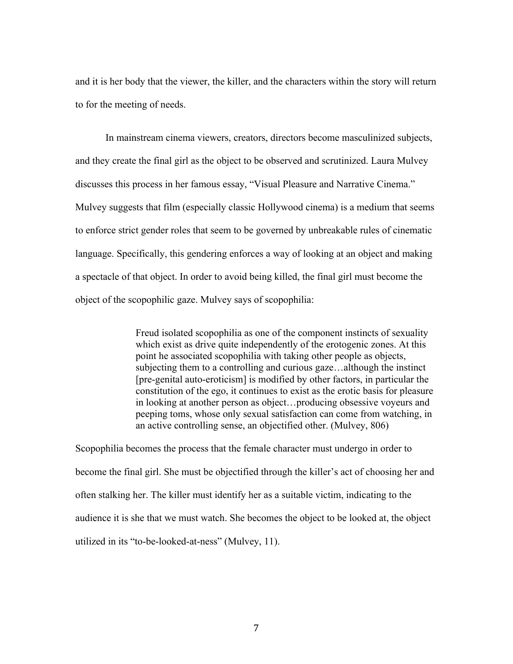and it is her body that the viewer, the killer, and the characters within the story will return to for the meeting of needs.

In mainstream cinema viewers, creators, directors become masculinized subjects, and they create the final girl as the object to be observed and scrutinized. Laura Mulvey discusses this process in her famous essay, "Visual Pleasure and Narrative Cinema." Mulvey suggests that film (especially classic Hollywood cinema) is a medium that seems to enforce strict gender roles that seem to be governed by unbreakable rules of cinematic language. Specifically, this gendering enforces a way of looking at an object and making a spectacle of that object. In order to avoid being killed, the final girl must become the object of the scopophilic gaze. Mulvey says of scopophilia:

> Freud isolated scopophilia as one of the component instincts of sexuality which exist as drive quite independently of the erotogenic zones. At this point he associated scopophilia with taking other people as objects, subjecting them to a controlling and curious gaze…although the instinct [pre-genital auto-eroticism] is modified by other factors, in particular the constitution of the ego, it continues to exist as the erotic basis for pleasure in looking at another person as object…producing obsessive voyeurs and peeping toms, whose only sexual satisfaction can come from watching, in an active controlling sense, an objectified other. (Mulvey, 806)

Scopophilia becomes the process that the female character must undergo in order to become the final girl. She must be objectified through the killer's act of choosing her and often stalking her. The killer must identify her as a suitable victim, indicating to the audience it is she that we must watch. She becomes the object to be looked at, the object utilized in its "to-be-looked-at-ness" (Mulvey, 11).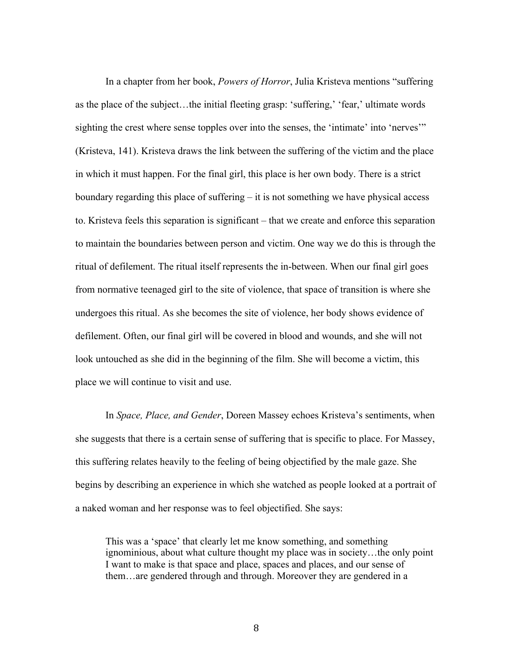In a chapter from her book, *Powers of Horror*, Julia Kristeva mentions "suffering as the place of the subject…the initial fleeting grasp: 'suffering,' 'fear,' ultimate words sighting the crest where sense topples over into the senses, the 'intimate' into 'nerves'" (Kristeva, 141). Kristeva draws the link between the suffering of the victim and the place in which it must happen. For the final girl, this place is her own body. There is a strict boundary regarding this place of suffering – it is not something we have physical access to. Kristeva feels this separation is significant – that we create and enforce this separation to maintain the boundaries between person and victim. One way we do this is through the ritual of defilement. The ritual itself represents the in-between. When our final girl goes from normative teenaged girl to the site of violence, that space of transition is where she undergoes this ritual. As she becomes the site of violence, her body shows evidence of defilement. Often, our final girl will be covered in blood and wounds, and she will not look untouched as she did in the beginning of the film. She will become a victim, this place we will continue to visit and use.

In *Space, Place, and Gender*, Doreen Massey echoes Kristeva's sentiments, when she suggests that there is a certain sense of suffering that is specific to place. For Massey, this suffering relates heavily to the feeling of being objectified by the male gaze. She begins by describing an experience in which she watched as people looked at a portrait of a naked woman and her response was to feel objectified. She says:

This was a 'space' that clearly let me know something, and something ignominious, about what culture thought my place was in society…the only point I want to make is that space and place, spaces and places, and our sense of them…are gendered through and through. Moreover they are gendered in a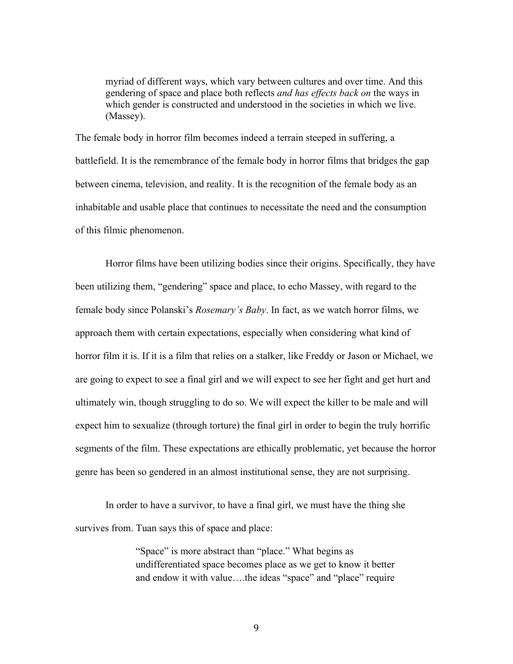myriad of different ways, which vary between cultures and over time. And this gendering of space and place both reflects *and has effects back on* the ways in which gender is constructed and understood in the societies in which we live. (Massey).

The female body in horror film becomes indeed a terrain steeped in suffering, a battlefield. It is the remembrance of the female body in horror films that bridges the gap between cinema, television, and reality. It is the recognition of the female body as an inhabitable and usable place that continues to necessitate the need and the consumption of this filmic phenomenon.

Horror films have been utilizing bodies since their origins. Specifically, they have been utilizing them, "gendering" space and place, to echo Massey, with regard to the female body since Polanski's *Rosemary's Baby*. In fact, as we watch horror films, we approach them with certain expectations, especially when considering what kind of horror film it is. If it is a film that relies on a stalker, like Freddy or Jason or Michael, we are going to expect to see a final girl and we will expect to see her fight and get hurt and ultimately win, though struggling to do so. We will expect the killer to be male and will expect him to sexualize (through torture) the final girl in order to begin the truly horrific segments of the film. These expectations are ethically problematic, yet because the horror genre has been so gendered in an almost institutional sense, they are not surprising.

In order to have a survivor, to have a final girl, we must have the thing she survives from. Tuan says this of space and place:

> "Space" is more abstract than "place." What begins as undifferentiated space becomes place as we get to know it better and endow it with value….the ideas "space" and "place" require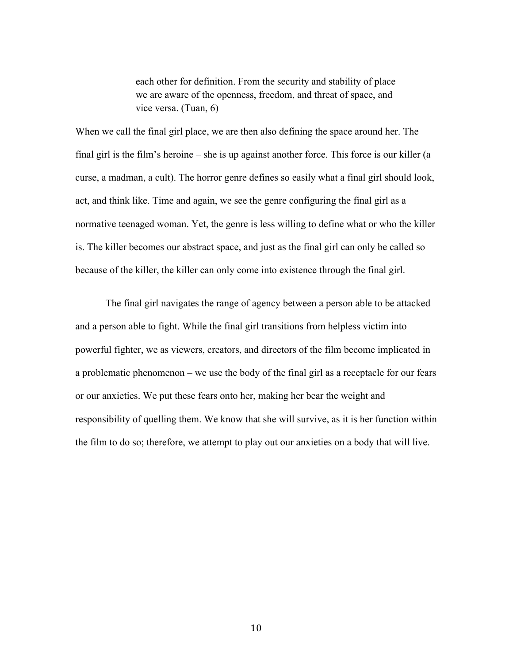each other for definition. From the security and stability of place we are aware of the openness, freedom, and threat of space, and vice versa. (Tuan, 6)

When we call the final girl place, we are then also defining the space around her. The final girl is the film's heroine – she is up against another force. This force is our killer (a curse, a madman, a cult). The horror genre defines so easily what a final girl should look, act, and think like. Time and again, we see the genre configuring the final girl as a normative teenaged woman. Yet, the genre is less willing to define what or who the killer is. The killer becomes our abstract space, and just as the final girl can only be called so because of the killer, the killer can only come into existence through the final girl.

The final girl navigates the range of agency between a person able to be attacked and a person able to fight. While the final girl transitions from helpless victim into powerful fighter, we as viewers, creators, and directors of the film become implicated in a problematic phenomenon – we use the body of the final girl as a receptacle for our fears or our anxieties. We put these fears onto her, making her bear the weight and responsibility of quelling them. We know that she will survive, as it is her function within the film to do so; therefore, we attempt to play out our anxieties on a body that will live.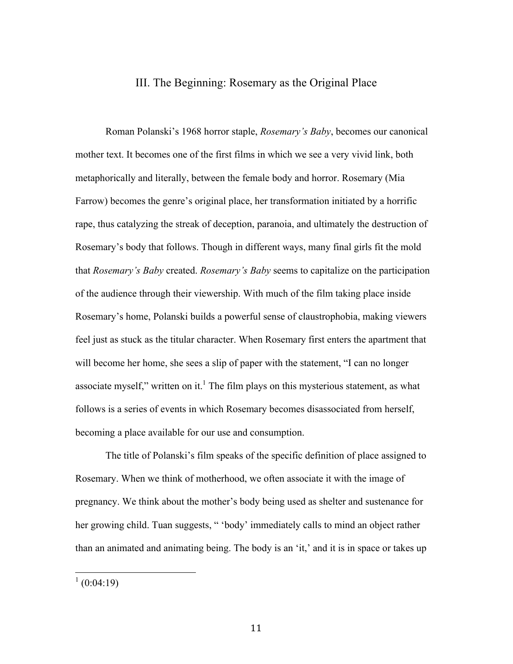#### III. The Beginning: Rosemary as the Original Place

Roman Polanski's 1968 horror staple, *Rosemary's Baby*, becomes our canonical mother text. It becomes one of the first films in which we see a very vivid link, both metaphorically and literally, between the female body and horror. Rosemary (Mia Farrow) becomes the genre's original place, her transformation initiated by a horrific rape, thus catalyzing the streak of deception, paranoia, and ultimately the destruction of Rosemary's body that follows. Though in different ways, many final girls fit the mold that *Rosemary's Baby* created. *Rosemary's Baby* seems to capitalize on the participation of the audience through their viewership. With much of the film taking place inside Rosemary's home, Polanski builds a powerful sense of claustrophobia, making viewers feel just as stuck as the titular character. When Rosemary first enters the apartment that will become her home, she sees a slip of paper with the statement, "I can no longer associate myself," written on it. $<sup>1</sup>$  The film plays on this mysterious statement, as what</sup> follows is a series of events in which Rosemary becomes disassociated from herself, becoming a place available for our use and consumption.

The title of Polanski's film speaks of the specific definition of place assigned to Rosemary. When we think of motherhood, we often associate it with the image of pregnancy. We think about the mother's body being used as shelter and sustenance for her growing child. Tuan suggests, " 'body' immediately calls to mind an object rather than an animated and animating being. The body is an 'it,' and it is in space or takes up

 $1 (0.04:19)$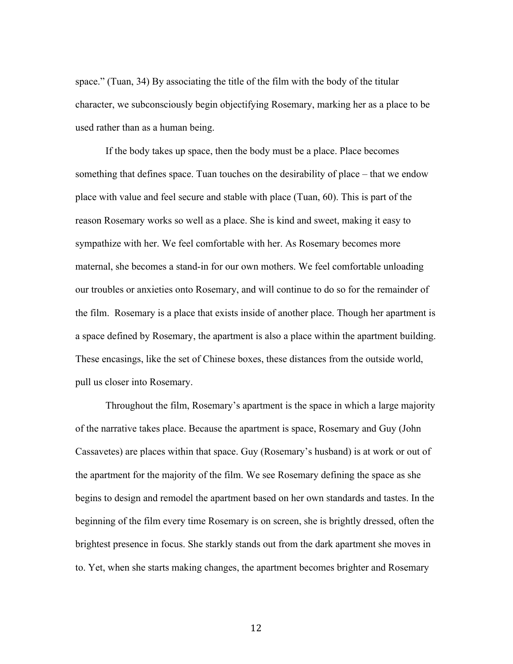space." (Tuan, 34) By associating the title of the film with the body of the titular character, we subconsciously begin objectifying Rosemary, marking her as a place to be used rather than as a human being.

If the body takes up space, then the body must be a place. Place becomes something that defines space. Tuan touches on the desirability of place – that we endow place with value and feel secure and stable with place (Tuan, 60). This is part of the reason Rosemary works so well as a place. She is kind and sweet, making it easy to sympathize with her. We feel comfortable with her. As Rosemary becomes more maternal, she becomes a stand-in for our own mothers. We feel comfortable unloading our troubles or anxieties onto Rosemary, and will continue to do so for the remainder of the film. Rosemary is a place that exists inside of another place. Though her apartment is a space defined by Rosemary, the apartment is also a place within the apartment building. These encasings, like the set of Chinese boxes, these distances from the outside world, pull us closer into Rosemary.

Throughout the film, Rosemary's apartment is the space in which a large majority of the narrative takes place. Because the apartment is space, Rosemary and Guy (John Cassavetes) are places within that space. Guy (Rosemary's husband) is at work or out of the apartment for the majority of the film. We see Rosemary defining the space as she begins to design and remodel the apartment based on her own standards and tastes. In the beginning of the film every time Rosemary is on screen, she is brightly dressed, often the brightest presence in focus. She starkly stands out from the dark apartment she moves in to. Yet, when she starts making changes, the apartment becomes brighter and Rosemary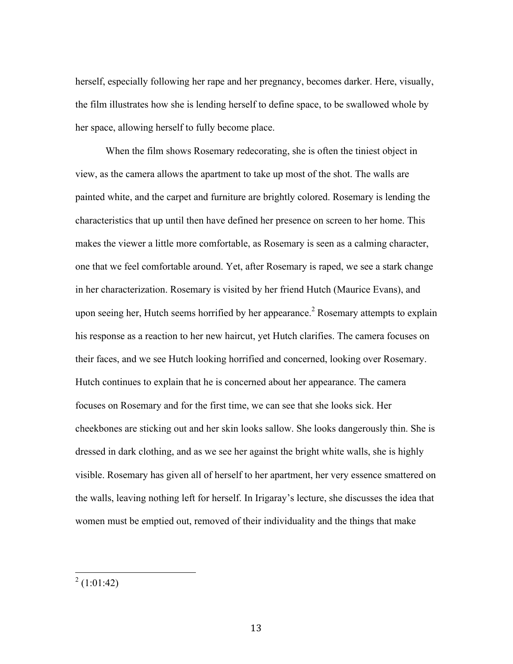herself, especially following her rape and her pregnancy, becomes darker. Here, visually, the film illustrates how she is lending herself to define space, to be swallowed whole by her space, allowing herself to fully become place.

When the film shows Rosemary redecorating, she is often the tiniest object in view, as the camera allows the apartment to take up most of the shot. The walls are painted white, and the carpet and furniture are brightly colored. Rosemary is lending the characteristics that up until then have defined her presence on screen to her home. This makes the viewer a little more comfortable, as Rosemary is seen as a calming character, one that we feel comfortable around. Yet, after Rosemary is raped, we see a stark change in her characterization. Rosemary is visited by her friend Hutch (Maurice Evans), and upon seeing her, Hutch seems horrified by her appearance.<sup>2</sup> Rosemary attempts to explain his response as a reaction to her new haircut, yet Hutch clarifies. The camera focuses on their faces, and we see Hutch looking horrified and concerned, looking over Rosemary. Hutch continues to explain that he is concerned about her appearance. The camera focuses on Rosemary and for the first time, we can see that she looks sick. Her cheekbones are sticking out and her skin looks sallow. She looks dangerously thin. She is dressed in dark clothing, and as we see her against the bright white walls, she is highly visible. Rosemary has given all of herself to her apartment, her very essence smattered on the walls, leaving nothing left for herself. In Irigaray's lecture, she discusses the idea that women must be emptied out, removed of their individuality and the things that make

 $^{2}$  (1:01:42)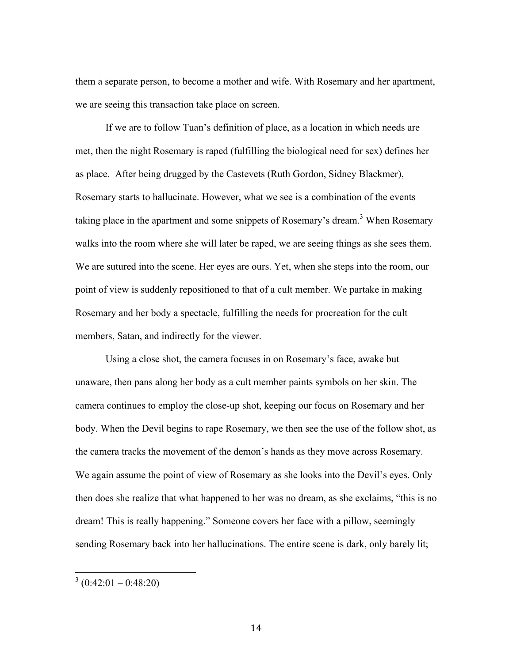them a separate person, to become a mother and wife. With Rosemary and her apartment, we are seeing this transaction take place on screen.

If we are to follow Tuan's definition of place, as a location in which needs are met, then the night Rosemary is raped (fulfilling the biological need for sex) defines her as place. After being drugged by the Castevets (Ruth Gordon, Sidney Blackmer), Rosemary starts to hallucinate. However, what we see is a combination of the events taking place in the apartment and some snippets of Rosemary's dream.<sup>3</sup> When Rosemary walks into the room where she will later be raped, we are seeing things as she sees them. We are sutured into the scene. Her eyes are ours. Yet, when she steps into the room, our point of view is suddenly repositioned to that of a cult member. We partake in making Rosemary and her body a spectacle, fulfilling the needs for procreation for the cult members, Satan, and indirectly for the viewer.

Using a close shot, the camera focuses in on Rosemary's face, awake but unaware, then pans along her body as a cult member paints symbols on her skin. The camera continues to employ the close-up shot, keeping our focus on Rosemary and her body. When the Devil begins to rape Rosemary, we then see the use of the follow shot, as the camera tracks the movement of the demon's hands as they move across Rosemary. We again assume the point of view of Rosemary as she looks into the Devil's eyes. Only then does she realize that what happened to her was no dream, as she exclaims, "this is no dream! This is really happening." Someone covers her face with a pillow, seemingly sending Rosemary back into her hallucinations. The entire scene is dark, only barely lit;

 $3(0:42:01 - 0:48:20)$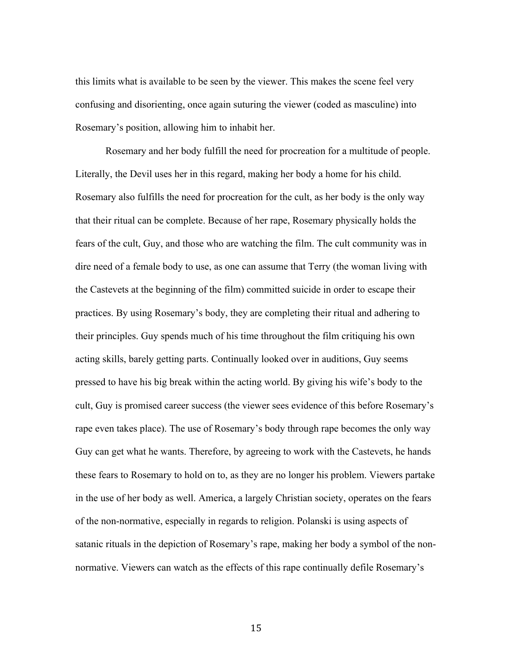this limits what is available to be seen by the viewer. This makes the scene feel very confusing and disorienting, once again suturing the viewer (coded as masculine) into Rosemary's position, allowing him to inhabit her.

Rosemary and her body fulfill the need for procreation for a multitude of people. Literally, the Devil uses her in this regard, making her body a home for his child. Rosemary also fulfills the need for procreation for the cult, as her body is the only way that their ritual can be complete. Because of her rape, Rosemary physically holds the fears of the cult, Guy, and those who are watching the film. The cult community was in dire need of a female body to use, as one can assume that Terry (the woman living with the Castevets at the beginning of the film) committed suicide in order to escape their practices. By using Rosemary's body, they are completing their ritual and adhering to their principles. Guy spends much of his time throughout the film critiquing his own acting skills, barely getting parts. Continually looked over in auditions, Guy seems pressed to have his big break within the acting world. By giving his wife's body to the cult, Guy is promised career success (the viewer sees evidence of this before Rosemary's rape even takes place). The use of Rosemary's body through rape becomes the only way Guy can get what he wants. Therefore, by agreeing to work with the Castevets, he hands these fears to Rosemary to hold on to, as they are no longer his problem. Viewers partake in the use of her body as well. America, a largely Christian society, operates on the fears of the non-normative, especially in regards to religion. Polanski is using aspects of satanic rituals in the depiction of Rosemary's rape, making her body a symbol of the nonnormative. Viewers can watch as the effects of this rape continually defile Rosemary's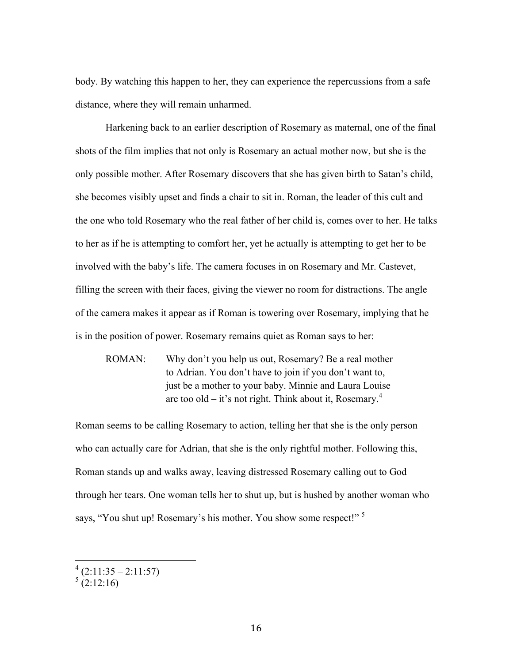body. By watching this happen to her, they can experience the repercussions from a safe distance, where they will remain unharmed.

Harkening back to an earlier description of Rosemary as maternal, one of the final shots of the film implies that not only is Rosemary an actual mother now, but she is the only possible mother. After Rosemary discovers that she has given birth to Satan's child, she becomes visibly upset and finds a chair to sit in. Roman, the leader of this cult and the one who told Rosemary who the real father of her child is, comes over to her. He talks to her as if he is attempting to comfort her, yet he actually is attempting to get her to be involved with the baby's life. The camera focuses in on Rosemary and Mr. Castevet, filling the screen with their faces, giving the viewer no room for distractions. The angle of the camera makes it appear as if Roman is towering over Rosemary, implying that he is in the position of power. Rosemary remains quiet as Roman says to her:

ROMAN: Why don't you help us out, Rosemary? Be a real mother to Adrian. You don't have to join if you don't want to, just be a mother to your baby. Minnie and Laura Louise are too old – it's not right. Think about it, Rosemary.<sup>4</sup>

Roman seems to be calling Rosemary to action, telling her that she is the only person who can actually care for Adrian, that she is the only rightful mother. Following this, Roman stands up and walks away, leaving distressed Rosemary calling out to God through her tears. One woman tells her to shut up, but is hushed by another woman who says, "You shut up! Rosemary's his mother. You show some respect!"<sup>5</sup>

 $4(2:11:35 - 2:11:57)$ 

 $\frac{5}{(2:12:16)}$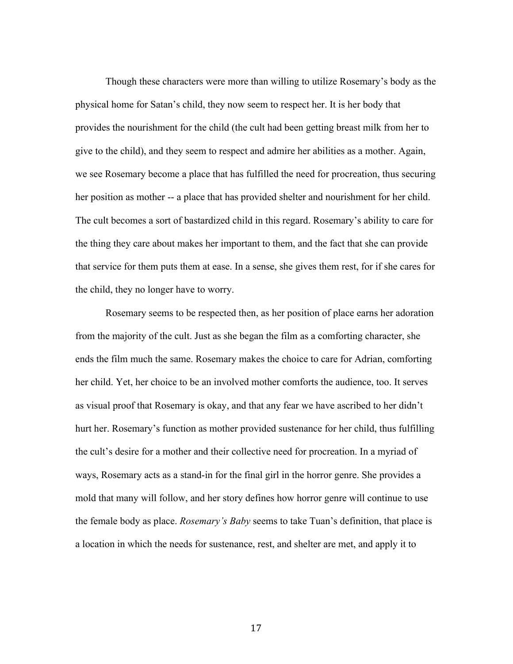Though these characters were more than willing to utilize Rosemary's body as the physical home for Satan's child, they now seem to respect her. It is her body that provides the nourishment for the child (the cult had been getting breast milk from her to give to the child), and they seem to respect and admire her abilities as a mother. Again, we see Rosemary become a place that has fulfilled the need for procreation, thus securing her position as mother -- a place that has provided shelter and nourishment for her child. The cult becomes a sort of bastardized child in this regard. Rosemary's ability to care for the thing they care about makes her important to them, and the fact that she can provide that service for them puts them at ease. In a sense, she gives them rest, for if she cares for the child, they no longer have to worry.

Rosemary seems to be respected then, as her position of place earns her adoration from the majority of the cult. Just as she began the film as a comforting character, she ends the film much the same. Rosemary makes the choice to care for Adrian, comforting her child. Yet, her choice to be an involved mother comforts the audience, too. It serves as visual proof that Rosemary is okay, and that any fear we have ascribed to her didn't hurt her. Rosemary's function as mother provided sustenance for her child, thus fulfilling the cult's desire for a mother and their collective need for procreation. In a myriad of ways, Rosemary acts as a stand-in for the final girl in the horror genre. She provides a mold that many will follow, and her story defines how horror genre will continue to use the female body as place. *Rosemary's Baby* seems to take Tuan's definition, that place is a location in which the needs for sustenance, rest, and shelter are met, and apply it to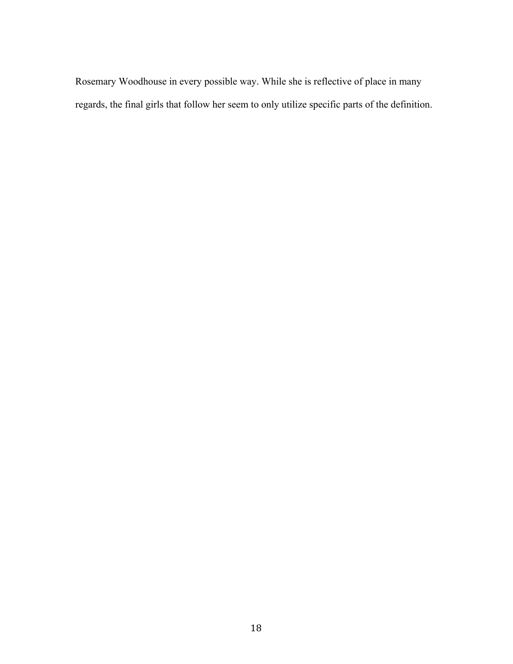Rosemary Woodhouse in every possible way. While she is reflective of place in many regards, the final girls that follow her seem to only utilize specific parts of the definition.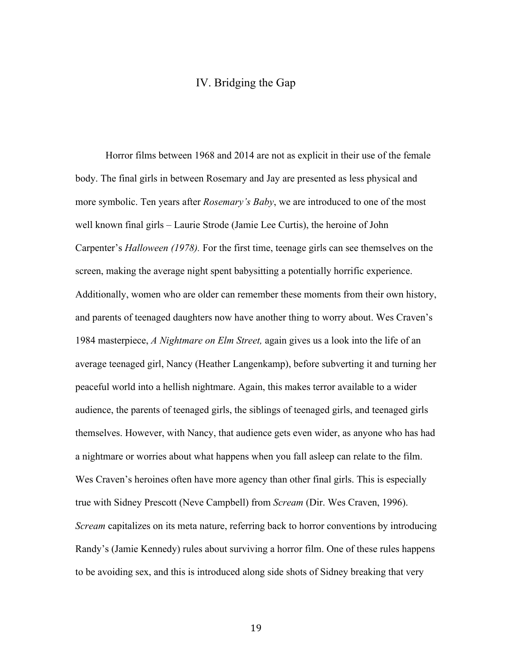#### IV. Bridging the Gap

Horror films between 1968 and 2014 are not as explicit in their use of the female body. The final girls in between Rosemary and Jay are presented as less physical and more symbolic. Ten years after *Rosemary's Baby*, we are introduced to one of the most well known final girls – Laurie Strode (Jamie Lee Curtis), the heroine of John Carpenter's *Halloween (1978).* For the first time, teenage girls can see themselves on the screen, making the average night spent babysitting a potentially horrific experience. Additionally, women who are older can remember these moments from their own history, and parents of teenaged daughters now have another thing to worry about. Wes Craven's 1984 masterpiece, *A Nightmare on Elm Street,* again gives us a look into the life of an average teenaged girl, Nancy (Heather Langenkamp), before subverting it and turning her peaceful world into a hellish nightmare. Again, this makes terror available to a wider audience, the parents of teenaged girls, the siblings of teenaged girls, and teenaged girls themselves. However, with Nancy, that audience gets even wider, as anyone who has had a nightmare or worries about what happens when you fall asleep can relate to the film. Wes Craven's heroines often have more agency than other final girls. This is especially true with Sidney Prescott (Neve Campbell) from *Scream* (Dir. Wes Craven, 1996). *Scream* capitalizes on its meta nature, referring back to horror conventions by introducing Randy's (Jamie Kennedy) rules about surviving a horror film. One of these rules happens to be avoiding sex, and this is introduced along side shots of Sidney breaking that very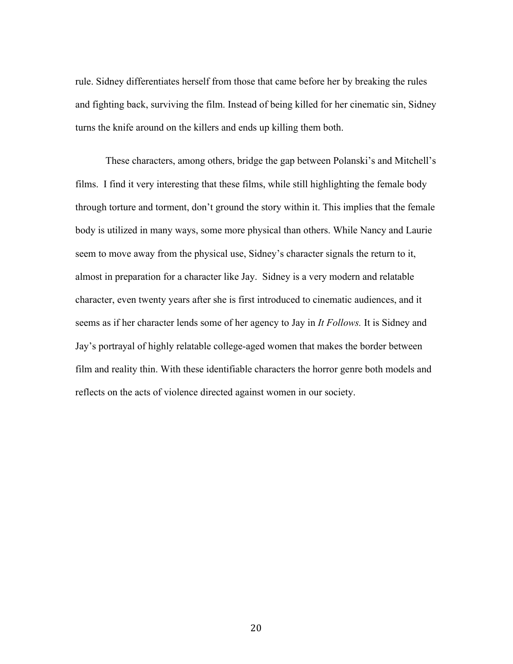rule. Sidney differentiates herself from those that came before her by breaking the rules and fighting back, surviving the film. Instead of being killed for her cinematic sin, Sidney turns the knife around on the killers and ends up killing them both.

These characters, among others, bridge the gap between Polanski's and Mitchell's films. I find it very interesting that these films, while still highlighting the female body through torture and torment, don't ground the story within it. This implies that the female body is utilized in many ways, some more physical than others. While Nancy and Laurie seem to move away from the physical use, Sidney's character signals the return to it, almost in preparation for a character like Jay. Sidney is a very modern and relatable character, even twenty years after she is first introduced to cinematic audiences, and it seems as if her character lends some of her agency to Jay in *It Follows.* It is Sidney and Jay's portrayal of highly relatable college-aged women that makes the border between film and reality thin. With these identifiable characters the horror genre both models and reflects on the acts of violence directed against women in our society.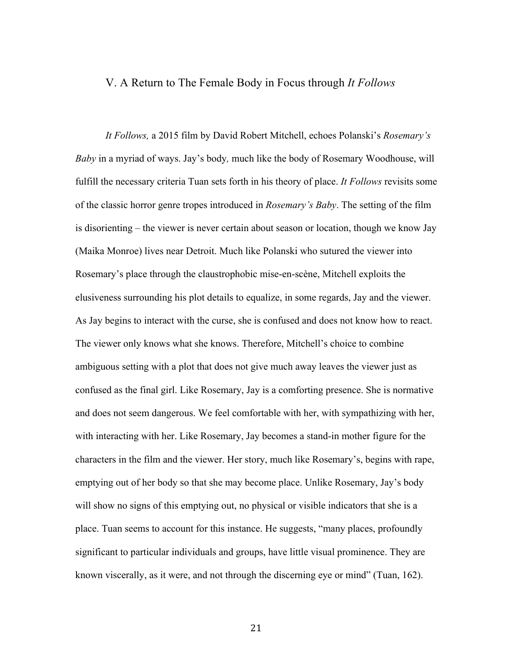#### V. A Return to The Female Body in Focus through *It Follows*

*It Follows,* a 2015 film by David Robert Mitchell, echoes Polanski's *Rosemary's Baby* in a myriad of ways. Jay's body*,* much like the body of Rosemary Woodhouse, will fulfill the necessary criteria Tuan sets forth in his theory of place. *It Follows* revisits some of the classic horror genre tropes introduced in *Rosemary's Baby*. The setting of the film is disorienting – the viewer is never certain about season or location, though we know Jay (Maika Monroe) lives near Detroit. Much like Polanski who sutured the viewer into Rosemary's place through the claustrophobic mise-en-scène, Mitchell exploits the elusiveness surrounding his plot details to equalize, in some regards, Jay and the viewer. As Jay begins to interact with the curse, she is confused and does not know how to react. The viewer only knows what she knows. Therefore, Mitchell's choice to combine ambiguous setting with a plot that does not give much away leaves the viewer just as confused as the final girl. Like Rosemary, Jay is a comforting presence. She is normative and does not seem dangerous. We feel comfortable with her, with sympathizing with her, with interacting with her. Like Rosemary, Jay becomes a stand-in mother figure for the characters in the film and the viewer. Her story, much like Rosemary's, begins with rape, emptying out of her body so that she may become place. Unlike Rosemary, Jay's body will show no signs of this emptying out, no physical or visible indicators that she is a place. Tuan seems to account for this instance. He suggests, "many places, profoundly significant to particular individuals and groups, have little visual prominence. They are known viscerally, as it were, and not through the discerning eye or mind" (Tuan, 162).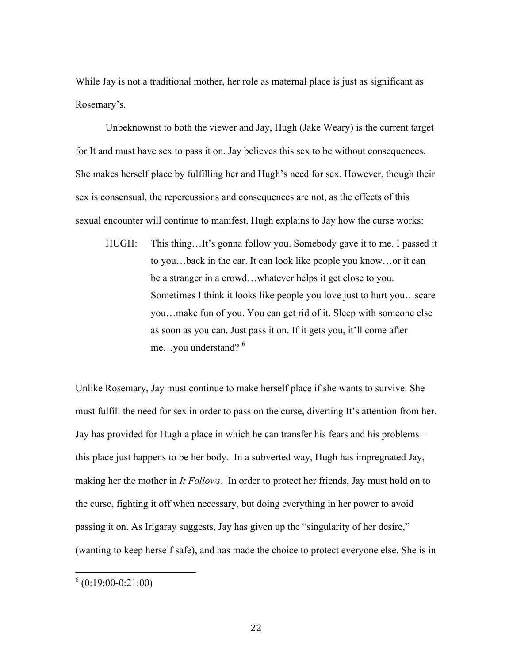While Jay is not a traditional mother, her role as maternal place is just as significant as Rosemary's.

Unbeknownst to both the viewer and Jay, Hugh (Jake Weary) is the current target for It and must have sex to pass it on. Jay believes this sex to be without consequences. She makes herself place by fulfilling her and Hugh's need for sex. However, though their sex is consensual, the repercussions and consequences are not, as the effects of this sexual encounter will continue to manifest. Hugh explains to Jay how the curse works:

HUGH: This thing…It's gonna follow you. Somebody gave it to me. I passed it to you…back in the car. It can look like people you know…or it can be a stranger in a crowd…whatever helps it get close to you. Sometimes I think it looks like people you love just to hurt you…scare you…make fun of you. You can get rid of it. Sleep with someone else as soon as you can. Just pass it on. If it gets you, it'll come after me...vou understand? <sup>6</sup>

Unlike Rosemary, Jay must continue to make herself place if she wants to survive. She must fulfill the need for sex in order to pass on the curse, diverting It's attention from her. Jay has provided for Hugh a place in which he can transfer his fears and his problems – this place just happens to be her body. In a subverted way, Hugh has impregnated Jay, making her the mother in *It Follows*. In order to protect her friends, Jay must hold on to the curse, fighting it off when necessary, but doing everything in her power to avoid passing it on. As Irigaray suggests, Jay has given up the "singularity of her desire," (wanting to keep herself safe), and has made the choice to protect everyone else. She is in

 $^{6}$  (0:19:00-0:21:00)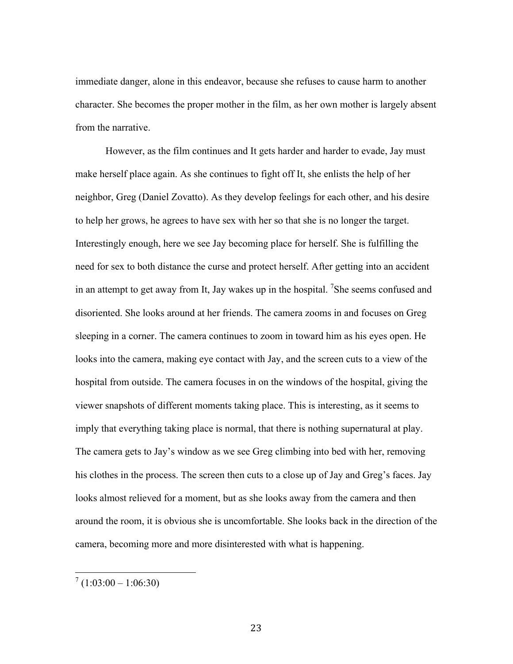immediate danger, alone in this endeavor, because she refuses to cause harm to another character. She becomes the proper mother in the film, as her own mother is largely absent from the narrative.

However, as the film continues and It gets harder and harder to evade, Jay must make herself place again. As she continues to fight off It, she enlists the help of her neighbor, Greg (Daniel Zovatto). As they develop feelings for each other, and his desire to help her grows, he agrees to have sex with her so that she is no longer the target. Interestingly enough, here we see Jay becoming place for herself. She is fulfilling the need for sex to both distance the curse and protect herself. After getting into an accident in an attempt to get away from It, Jay wakes up in the hospital. <sup>7</sup>She seems confused and disoriented. She looks around at her friends. The camera zooms in and focuses on Greg sleeping in a corner. The camera continues to zoom in toward him as his eyes open. He looks into the camera, making eye contact with Jay, and the screen cuts to a view of the hospital from outside. The camera focuses in on the windows of the hospital, giving the viewer snapshots of different moments taking place. This is interesting, as it seems to imply that everything taking place is normal, that there is nothing supernatural at play. The camera gets to Jay's window as we see Greg climbing into bed with her, removing his clothes in the process. The screen then cuts to a close up of Jay and Greg's faces. Jay looks almost relieved for a moment, but as she looks away from the camera and then around the room, it is obvious she is uncomfortable. She looks back in the direction of the camera, becoming more and more disinterested with what is happening.

 $7(1:03:00 - 1:06:30)$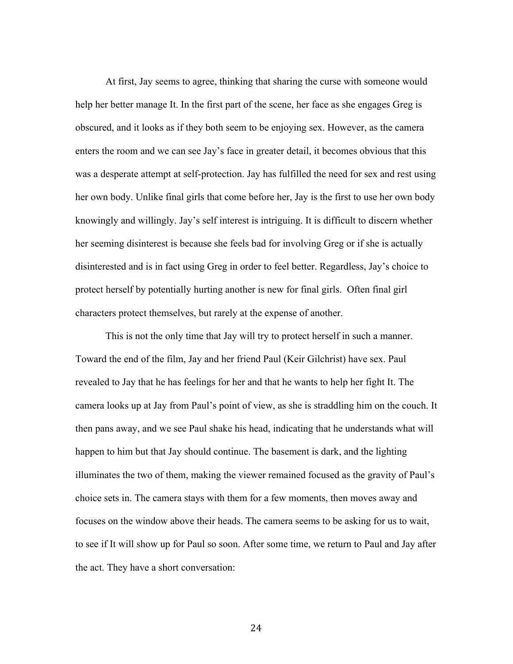At first, Jay seems to agree, thinking that sharing the curse with someone would help her better manage It. In the first part of the scene, her face as she engages Greg is obscured, and it looks as if they both seem to be enjoying sex. However, as the camera enters the room and we can see Jay's face in greater detail, it becomes obvious that this was a desperate attempt at self-protection. Jay has fulfilled the need for sex and rest using her own body. Unlike final girls that come before her, Jay is the first to use her own body knowingly and willingly. Jay's self interest is intriguing. It is difficult to discern whether her seeming disinterest is because she feels bad for involving Greg or if she is actually disinterested and is in fact using Greg in order to feel better. Regardless, Jay's choice to protect herself by potentially hurting another is new for final girls. Often final girl characters protect themselves, but rarely at the expense of another.

This is not the only time that Jay will try to protect herself in such a manner. Toward the end of the film, Jay and her friend Paul (Keir Gilchrist) have sex. Paul revealed to Jay that he has feelings for her and that he wants to help her fight It. The camera looks up at Jay from Paul's point of view, as she is straddling him on the couch. It then pans away, and we see Paul shake his head, indicating that he understands what will happen to him but that Jay should continue. The basement is dark, and the lighting illuminates the two of them, making the viewer remained focused as the gravity of Paul's choice sets in. The camera stays with them for a few moments, then moves away and focuses on the window above their heads. The camera seems to be asking for us to wait, to see if It will show up for Paul so soon. After some time, we return to Paul and Jay after the act. They have a short conversation: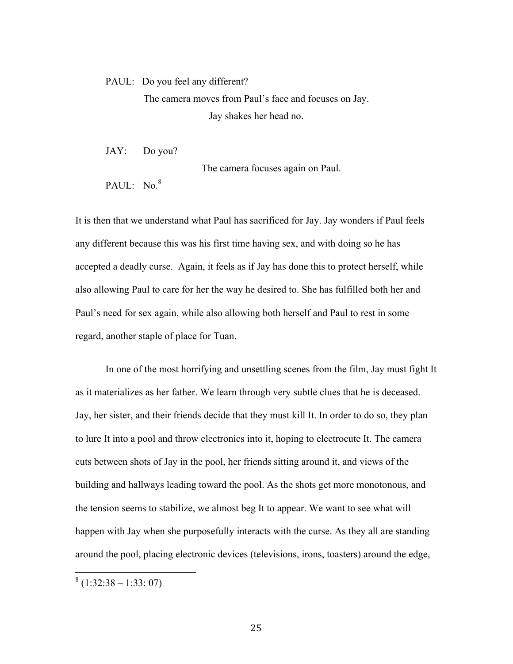PAUL: Do you feel any different?

The camera moves from Paul's face and focuses on Jay. Jay shakes her head no.

JAY: Do you?

The camera focuses again on Paul.

PAUL: No.<sup>8</sup>

It is then that we understand what Paul has sacrificed for Jay. Jay wonders if Paul feels any different because this was his first time having sex, and with doing so he has accepted a deadly curse. Again, it feels as if Jay has done this to protect herself, while also allowing Paul to care for her the way he desired to. She has fulfilled both her and Paul's need for sex again, while also allowing both herself and Paul to rest in some regard, another staple of place for Tuan.

In one of the most horrifying and unsettling scenes from the film, Jay must fight It as it materializes as her father. We learn through very subtle clues that he is deceased. Jay, her sister, and their friends decide that they must kill It. In order to do so, they plan to lure It into a pool and throw electronics into it, hoping to electrocute It. The camera cuts between shots of Jay in the pool, her friends sitting around it, and views of the building and hallways leading toward the pool. As the shots get more monotonous, and the tension seems to stabilize, we almost beg It to appear. We want to see what will happen with Jay when she purposefully interacts with the curse. As they all are standing around the pool, placing electronic devices (televisions, irons, toasters) around the edge,

 $8(1:32:38 - 1:33:07)$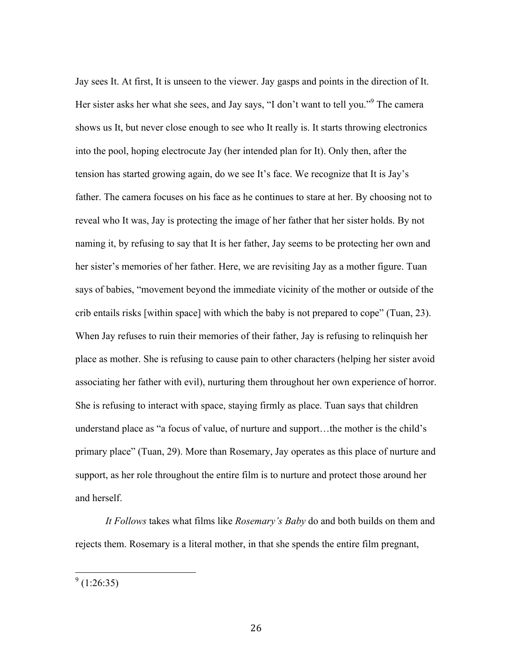Jay sees It. At first, It is unseen to the viewer. Jay gasps and points in the direction of It. Her sister asks her what she sees, and Jay says, "I don't want to tell you."<sup>9</sup> The camera shows us It, but never close enough to see who It really is. It starts throwing electronics into the pool, hoping electrocute Jay (her intended plan for It). Only then, after the tension has started growing again, do we see It's face. We recognize that It is Jay's father. The camera focuses on his face as he continues to stare at her. By choosing not to reveal who It was, Jay is protecting the image of her father that her sister holds. By not naming it, by refusing to say that It is her father, Jay seems to be protecting her own and her sister's memories of her father. Here, we are revisiting Jay as a mother figure. Tuan says of babies, "movement beyond the immediate vicinity of the mother or outside of the crib entails risks [within space] with which the baby is not prepared to cope" (Tuan, 23). When Jay refuses to ruin their memories of their father, Jay is refusing to relinquish her place as mother. She is refusing to cause pain to other characters (helping her sister avoid associating her father with evil), nurturing them throughout her own experience of horror. She is refusing to interact with space, staying firmly as place. Tuan says that children understand place as "a focus of value, of nurture and support…the mother is the child's primary place" (Tuan, 29). More than Rosemary, Jay operates as this place of nurture and support, as her role throughout the entire film is to nurture and protect those around her and herself.

*It Follows* takes what films like *Rosemary's Baby* do and both builds on them and rejects them. Rosemary is a literal mother, in that she spends the entire film pregnant,

 $9(1:26:35)$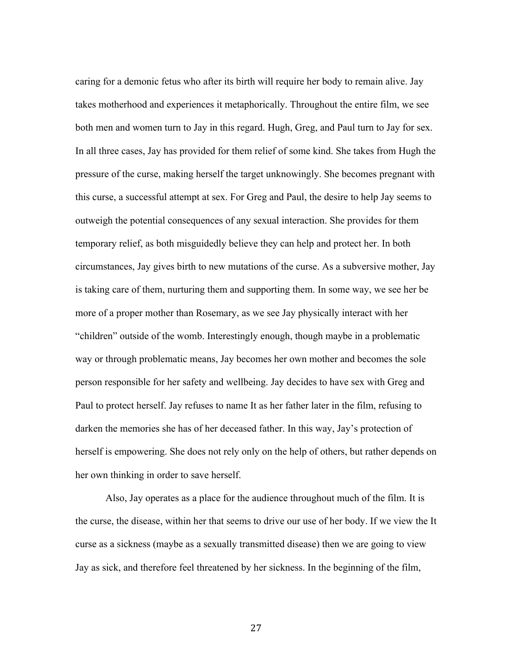caring for a demonic fetus who after its birth will require her body to remain alive. Jay takes motherhood and experiences it metaphorically. Throughout the entire film, we see both men and women turn to Jay in this regard. Hugh, Greg, and Paul turn to Jay for sex. In all three cases, Jay has provided for them relief of some kind. She takes from Hugh the pressure of the curse, making herself the target unknowingly. She becomes pregnant with this curse, a successful attempt at sex. For Greg and Paul, the desire to help Jay seems to outweigh the potential consequences of any sexual interaction. She provides for them temporary relief, as both misguidedly believe they can help and protect her. In both circumstances, Jay gives birth to new mutations of the curse. As a subversive mother, Jay is taking care of them, nurturing them and supporting them. In some way, we see her be more of a proper mother than Rosemary, as we see Jay physically interact with her "children" outside of the womb. Interestingly enough, though maybe in a problematic way or through problematic means, Jay becomes her own mother and becomes the sole person responsible for her safety and wellbeing. Jay decides to have sex with Greg and Paul to protect herself. Jay refuses to name It as her father later in the film, refusing to darken the memories she has of her deceased father. In this way, Jay's protection of herself is empowering. She does not rely only on the help of others, but rather depends on her own thinking in order to save herself.

Also, Jay operates as a place for the audience throughout much of the film. It is the curse, the disease, within her that seems to drive our use of her body. If we view the It curse as a sickness (maybe as a sexually transmitted disease) then we are going to view Jay as sick, and therefore feel threatened by her sickness. In the beginning of the film,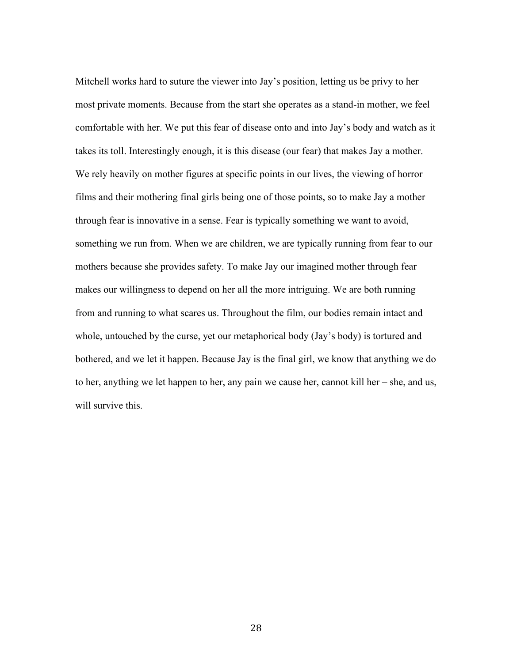Mitchell works hard to suture the viewer into Jay's position, letting us be privy to her most private moments. Because from the start she operates as a stand-in mother, we feel comfortable with her. We put this fear of disease onto and into Jay's body and watch as it takes its toll. Interestingly enough, it is this disease (our fear) that makes Jay a mother. We rely heavily on mother figures at specific points in our lives, the viewing of horror films and their mothering final girls being one of those points, so to make Jay a mother through fear is innovative in a sense. Fear is typically something we want to avoid, something we run from. When we are children, we are typically running from fear to our mothers because she provides safety. To make Jay our imagined mother through fear makes our willingness to depend on her all the more intriguing. We are both running from and running to what scares us. Throughout the film, our bodies remain intact and whole, untouched by the curse, yet our metaphorical body (Jay's body) is tortured and bothered, and we let it happen. Because Jay is the final girl, we know that anything we do to her, anything we let happen to her, any pain we cause her, cannot kill her – she, and us, will survive this.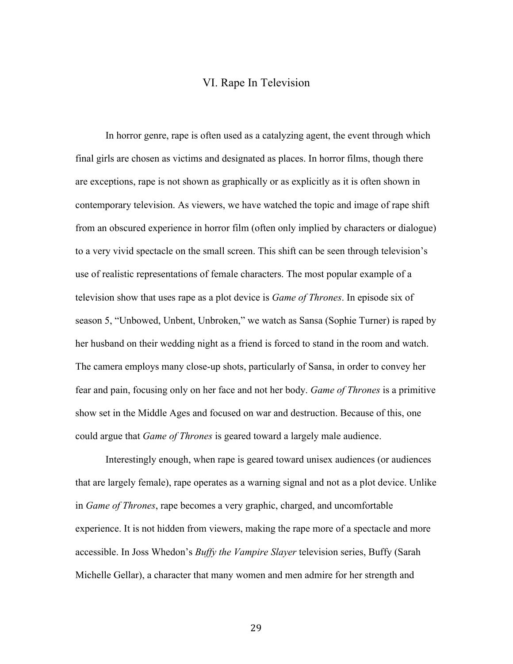#### VI. Rape In Television

In horror genre, rape is often used as a catalyzing agent, the event through which final girls are chosen as victims and designated as places. In horror films, though there are exceptions, rape is not shown as graphically or as explicitly as it is often shown in contemporary television. As viewers, we have watched the topic and image of rape shift from an obscured experience in horror film (often only implied by characters or dialogue) to a very vivid spectacle on the small screen. This shift can be seen through television's use of realistic representations of female characters. The most popular example of a television show that uses rape as a plot device is *Game of Thrones*. In episode six of season 5, "Unbowed, Unbent, Unbroken," we watch as Sansa (Sophie Turner) is raped by her husband on their wedding night as a friend is forced to stand in the room and watch. The camera employs many close-up shots, particularly of Sansa, in order to convey her fear and pain, focusing only on her face and not her body. *Game of Thrones* is a primitive show set in the Middle Ages and focused on war and destruction. Because of this, one could argue that *Game of Thrones* is geared toward a largely male audience.

Interestingly enough, when rape is geared toward unisex audiences (or audiences that are largely female), rape operates as a warning signal and not as a plot device. Unlike in *Game of Thrones*, rape becomes a very graphic, charged, and uncomfortable experience. It is not hidden from viewers, making the rape more of a spectacle and more accessible. In Joss Whedon's *Buffy the Vampire Slayer* television series, Buffy (Sarah Michelle Gellar), a character that many women and men admire for her strength and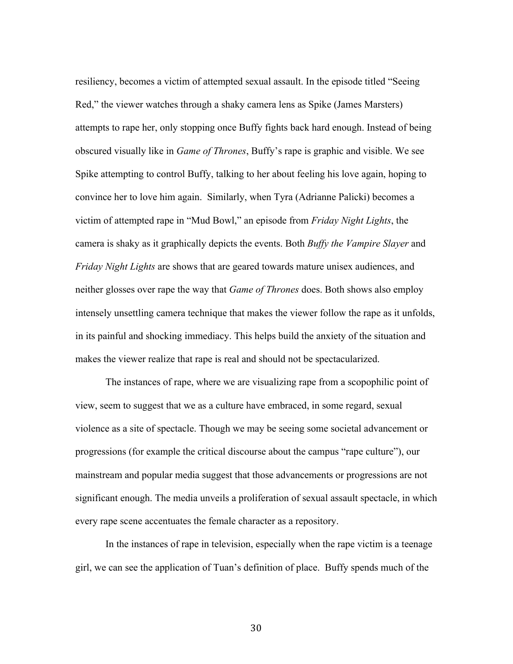resiliency, becomes a victim of attempted sexual assault. In the episode titled "Seeing Red," the viewer watches through a shaky camera lens as Spike (James Marsters) attempts to rape her, only stopping once Buffy fights back hard enough. Instead of being obscured visually like in *Game of Thrones*, Buffy's rape is graphic and visible. We see Spike attempting to control Buffy, talking to her about feeling his love again, hoping to convince her to love him again. Similarly, when Tyra (Adrianne Palicki) becomes a victim of attempted rape in "Mud Bowl," an episode from *Friday Night Lights*, the camera is shaky as it graphically depicts the events. Both *Buffy the Vampire Slayer* and *Friday Night Lights* are shows that are geared towards mature unisex audiences, and neither glosses over rape the way that *Game of Thrones* does. Both shows also employ intensely unsettling camera technique that makes the viewer follow the rape as it unfolds, in its painful and shocking immediacy. This helps build the anxiety of the situation and makes the viewer realize that rape is real and should not be spectacularized.

The instances of rape, where we are visualizing rape from a scopophilic point of view, seem to suggest that we as a culture have embraced, in some regard, sexual violence as a site of spectacle. Though we may be seeing some societal advancement or progressions (for example the critical discourse about the campus "rape culture"), our mainstream and popular media suggest that those advancements or progressions are not significant enough. The media unveils a proliferation of sexual assault spectacle, in which every rape scene accentuates the female character as a repository.

In the instances of rape in television, especially when the rape victim is a teenage girl, we can see the application of Tuan's definition of place. Buffy spends much of the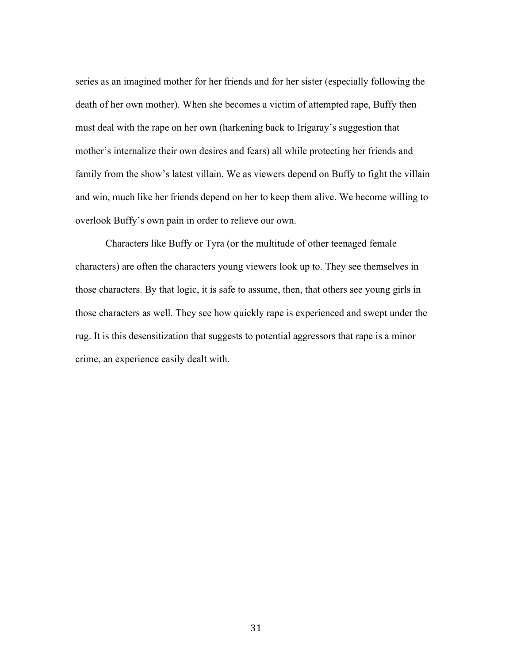series as an imagined mother for her friends and for her sister (especially following the death of her own mother). When she becomes a victim of attempted rape, Buffy then must deal with the rape on her own (harkening back to Irigaray's suggestion that mother's internalize their own desires and fears) all while protecting her friends and family from the show's latest villain. We as viewers depend on Buffy to fight the villain and win, much like her friends depend on her to keep them alive. We become willing to overlook Buffy's own pain in order to relieve our own.

Characters like Buffy or Tyra (or the multitude of other teenaged female characters) are often the characters young viewers look up to. They see themselves in those characters. By that logic, it is safe to assume, then, that others see young girls in those characters as well. They see how quickly rape is experienced and swept under the rug. It is this desensitization that suggests to potential aggressors that rape is a minor crime, an experience easily dealt with.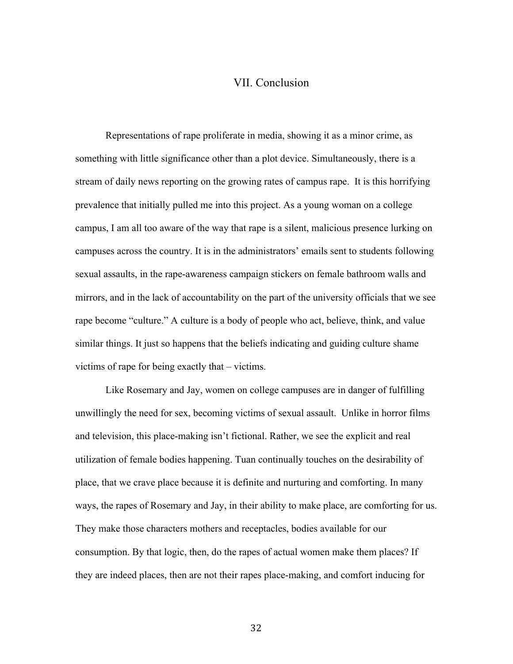#### VII. Conclusion

Representations of rape proliferate in media, showing it as a minor crime, as something with little significance other than a plot device. Simultaneously, there is a stream of daily news reporting on the growing rates of campus rape. It is this horrifying prevalence that initially pulled me into this project. As a young woman on a college campus, I am all too aware of the way that rape is a silent, malicious presence lurking on campuses across the country. It is in the administrators' emails sent to students following sexual assaults, in the rape-awareness campaign stickers on female bathroom walls and mirrors, and in the lack of accountability on the part of the university officials that we see rape become "culture." A culture is a body of people who act, believe, think, and value similar things. It just so happens that the beliefs indicating and guiding culture shame victims of rape for being exactly that – victims.

Like Rosemary and Jay, women on college campuses are in danger of fulfilling unwillingly the need for sex, becoming victims of sexual assault. Unlike in horror films and television, this place-making isn't fictional. Rather, we see the explicit and real utilization of female bodies happening. Tuan continually touches on the desirability of place, that we crave place because it is definite and nurturing and comforting. In many ways, the rapes of Rosemary and Jay, in their ability to make place, are comforting for us. They make those characters mothers and receptacles, bodies available for our consumption. By that logic, then, do the rapes of actual women make them places? If they are indeed places, then are not their rapes place-making, and comfort inducing for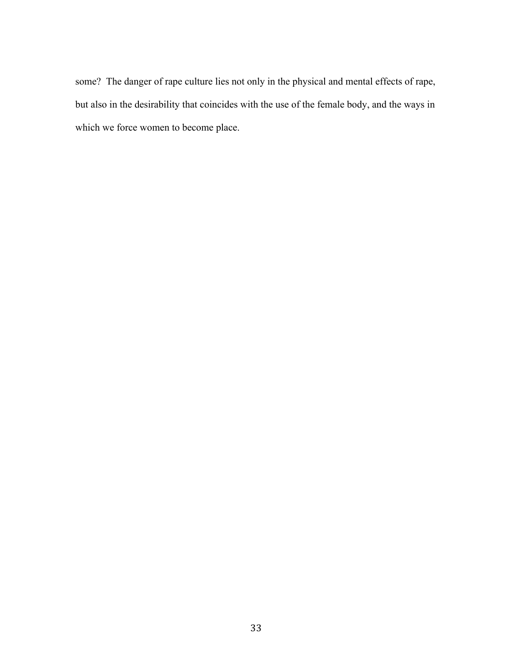some? The danger of rape culture lies not only in the physical and mental effects of rape, but also in the desirability that coincides with the use of the female body, and the ways in which we force women to become place.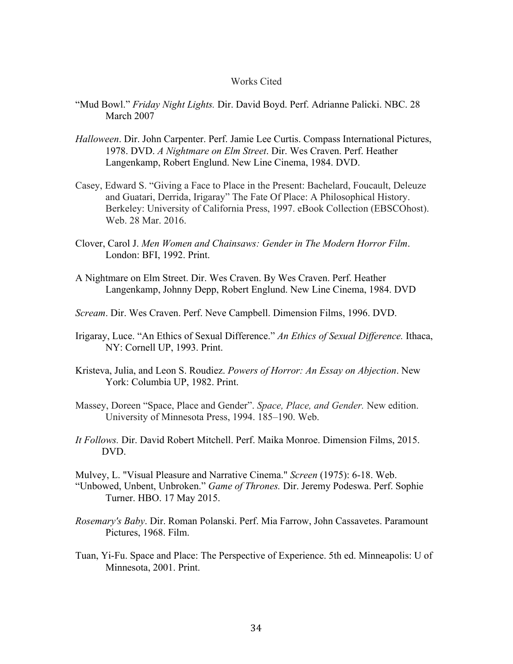#### Works Cited

- "Mud Bowl." *Friday Night Lights.* Dir. David Boyd. Perf. Adrianne Palicki. NBC. 28 March 2007
- *Halloween*. Dir. John Carpenter. Perf. Jamie Lee Curtis. Compass International Pictures, 1978. DVD. *A Nightmare on Elm Street*. Dir. Wes Craven. Perf. Heather Langenkamp, Robert Englund. New Line Cinema, 1984. DVD.
- Casey, Edward S. "Giving a Face to Place in the Present: Bachelard, Foucault, Deleuze and Guatari, Derrida, Irigaray" The Fate Of Place: A Philosophical History. Berkeley: University of California Press, 1997. eBook Collection (EBSCOhost). Web. 28 Mar. 2016.
- Clover, Carol J. *Men Women and Chainsaws: Gender in The Modern Horror Film*. London: BFI, 1992. Print.
- A Nightmare on Elm Street. Dir. Wes Craven. By Wes Craven. Perf. Heather Langenkamp, Johnny Depp, Robert Englund. New Line Cinema, 1984. DVD
- *Scream*. Dir. Wes Craven. Perf. Neve Campbell. Dimension Films, 1996. DVD.
- Irigaray, Luce. "An Ethics of Sexual Difference." *An Ethics of Sexual Difference.* Ithaca, NY: Cornell UP, 1993. Print.
- Kristeva, Julia, and Leon S. Roudiez. *Powers of Horror: An Essay on Abjection*. New York: Columbia UP, 1982. Print.
- Massey, Doreen "Space, Place and Gender". *Space, Place, and Gender.* New edition. University of Minnesota Press, 1994. 185–190. Web.
- *It Follows.* Dir. David Robert Mitchell. Perf. Maika Monroe. Dimension Films, 2015. DVD.

Mulvey, L. "Visual Pleasure and Narrative Cinema." *Screen* (1975): 6-18. Web. "Unbowed, Unbent, Unbroken." *Game of Thrones.* Dir. Jeremy Podeswa. Perf. Sophie Turner. HBO. 17 May 2015.

- *Rosemary's Baby*. Dir. Roman Polanski. Perf. Mia Farrow, John Cassavetes. Paramount Pictures, 1968. Film.
- Tuan, Yi-Fu. Space and Place: The Perspective of Experience. 5th ed. Minneapolis: U of Minnesota, 2001. Print.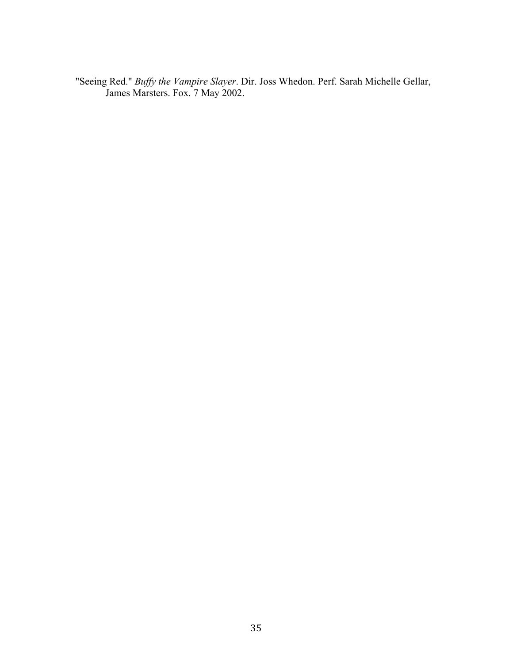"Seeing Red." *Buffy the Vampire Slayer*. Dir. Joss Whedon. Perf. Sarah Michelle Gellar, James Marsters. Fox. 7 May 2002.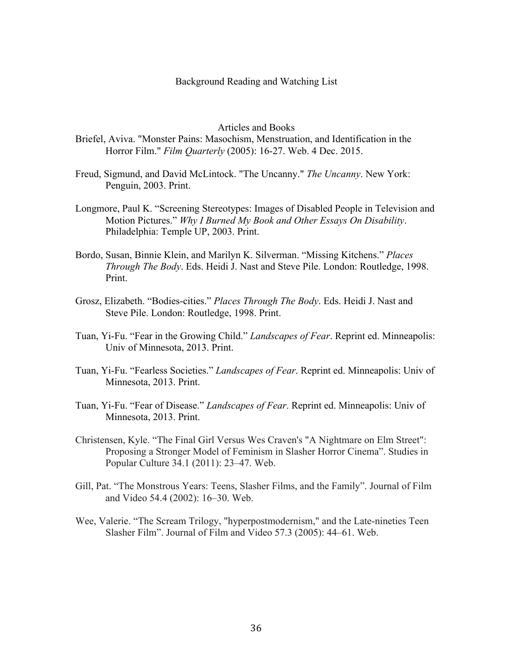#### Background Reading and Watching List

#### Articles and Books

- Briefel, Aviva. "Monster Pains: Masochism, Menstruation, and Identification in the Horror Film." *Film Quarterly* (2005): 16-27. Web. 4 Dec. 2015.
- Freud, Sigmund, and David McLintock. "The Uncanny." *The Uncanny*. New York: Penguin, 2003. Print.
- Longmore, Paul K. "Screening Stereotypes: Images of Disabled People in Television and Motion Pictures." *Why I Burned My Book and Other Essays On Disability*. Philadelphia: Temple UP, 2003. Print.
- Bordo, Susan, Binnie Klein, and Marilyn K. Silverman. "Missing Kitchens." *Places Through The Body*. Eds. Heidi J. Nast and Steve Pile. London: Routledge, 1998. Print.
- Grosz, Elizabeth. "Bodies-cities." *Places Through The Body*. Eds. Heidi J. Nast and Steve Pile. London: Routledge, 1998. Print.
- Tuan, Yi-Fu. "Fear in the Growing Child." *Landscapes of Fear*. Reprint ed. Minneapolis: Univ of Minnesota, 2013. Print.
- Tuan, Yi-Fu. "Fearless Societies." *Landscapes of Fear*. Reprint ed. Minneapolis: Univ of Minnesota, 2013. Print.
- Tuan, Yi-Fu. "Fear of Disease." *Landscapes of Fear*. Reprint ed. Minneapolis: Univ of Minnesota, 2013. Print.
- Christensen, Kyle. "The Final Girl Versus Wes Craven's "A Nightmare on Elm Street": Proposing a Stronger Model of Feminism in Slasher Horror Cinema". Studies in Popular Culture 34.1 (2011): 23–47. Web.
- Gill, Pat. "The Monstrous Years: Teens, Slasher Films, and the Family". Journal of Film and Video 54.4 (2002): 16–30. Web.
- Wee, Valerie. "The Scream Trilogy, "hyperpostmodernism," and the Late-nineties Teen Slasher Film". Journal of Film and Video 57.3 (2005): 44–61. Web.